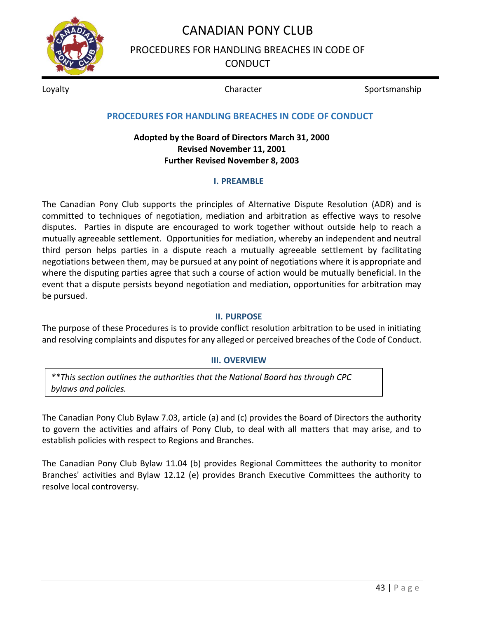

PROCEDURES FOR HANDLING BREACHES IN CODE OF **CONDUCT** 

Loyalty **Sportsmanship** Character **Sportsmanship** Character Sportsmanship

**PROCEDURES FOR HANDLING BREACHES IN CODE OF CONDUCT**

### **Adopted by the Board of Directors March 31, 2000 Revised November 11, 2001 Further Revised November 8, 2003**

### **I. PREAMBLE**

The Canadian Pony Club supports the principles of Alternative Dispute Resolution (ADR) and is committed to techniques of negotiation, mediation and arbitration as effective ways to resolve disputes. Parties in dispute are encouraged to work together without outside help to reach a mutually agreeable settlement. Opportunities for mediation, whereby an independent and neutral third person helps parties in a dispute reach a mutually agreeable settlement by facilitating negotiations between them, may be pursued at any point of negotiations where it is appropriate and where the disputing parties agree that such a course of action would be mutually beneficial. In the event that a dispute persists beyond negotiation and mediation, opportunities for arbitration may be pursued.

### **II. PURPOSE**

The purpose of these Procedures is to provide conflict resolution arbitration to be used in initiating and resolving complaints and disputes for any alleged or perceived breaches of the Code of Conduct.

### **III. OVERVIEW**

*\*\*This section outlines the authorities that the National Board has through CPC bylaws and policies.* 

The Canadian Pony Club Bylaw 7.03, article (a) and (c) provides the Board of Directors the authority to govern the activities and affairs of Pony Club, to deal with all matters that may arise, and to establish policies with respect to Regions and Branches.

The Canadian Pony Club Bylaw 11.04 (b) provides Regional Committees the authority to monitor Branches' activities and Bylaw 12.12 (e) provides Branch Executive Committees the authority to resolve local controversy.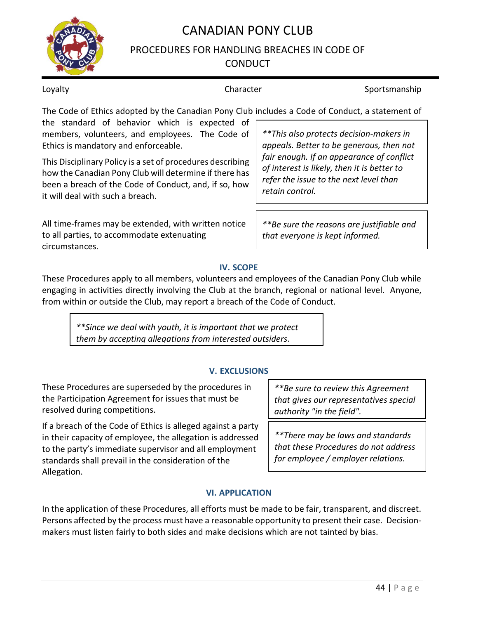## PROCEDURES FOR HANDLING BREACHES IN CODE OF **CONDUCT**

### Loyalty **Sportsmanship** Character **Sportsmanship** Character Sportsmanship

The Code of Ethics adopted by the Canadian Pony Club includes a Code of Conduct, a statement of

the standard of behavior which is expected of members, volunteers, and employees. The Code of Ethics is mandatory and enforceable.

This Disciplinary Policy is a set of procedures describing how the Canadian Pony Club will determine if there has been a breach of the Code of Conduct, and, if so, how it will deal with such a breach.

All time-frames may be extended, with written notice to all parties, to accommodate extenuating circumstances.

*\*\*This also protects decision-makers in appeals. Better to be generous, then not fair enough. If an appearance of conflict of interest is likely, then it is better to refer the issue to the next level than retain control.*

*\*\*Be sure the reasons are justifiable and that everyone is kept informed.*

### **IV. SCOPE**

These Procedures apply to all members, volunteers and employees of the Canadian Pony Club while engaging in activities directly involving the Club at the branch, regional or national level. Anyone, from within or outside the Club, may report a breach of the Code of Conduct.

*\*\*Since we deal with youth, it is important that we protect them by accepting allegations from interested outsiders*.

### **V. EXCLUSIONS**

These Procedures are superseded by the procedures in the Participation Agreement for issues that must be resolved during competitions.

If a breach of the Code of Ethics is alleged against a party in their capacity of employee, the allegation is addressed to the party's immediate supervisor and all employment standards shall prevail in the consideration of the Allegation.

*\*\*Be sure to review this Agreement that gives our representatives special authority "in the field".*

*\*\*There may be laws and standards that these Procedures do not address for employee / employer relations.*

## **VI. APPLICATION**

In the application of these Procedures, all efforts must be made to be fair, transparent, and discreet. Persons affected by the process must have a reasonable opportunity to present their case. Decisionmakers must listen fairly to both sides and make decisions which are not tainted by bias.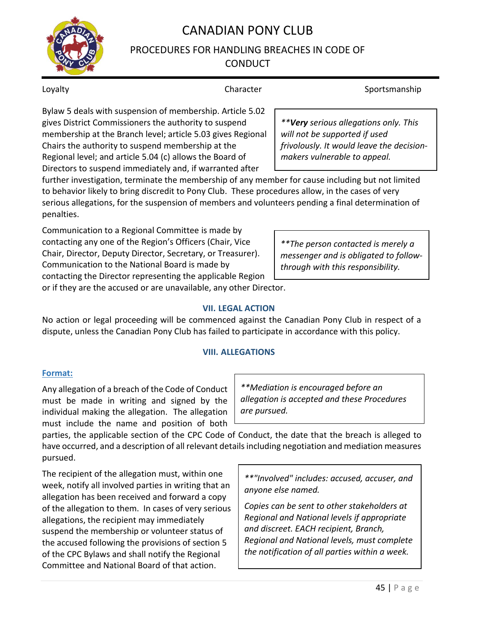## PROCEDURES FOR HANDLING BREACHES IN CODE OF **CONDUCT**

Loyalty **Sportsmanship** Character **Sportsmanship** Character Sportsmanship

Bylaw 5 deals with suspension of membership. Article 5.02 gives District Commissioners the authority to suspend membership at the Branch level; article 5.03 gives Regional Chairs the authority to suspend membership at the Regional level; and article 5.04 (c) allows the Board of Directors to suspend immediately and, if warranted after

*\*\*Very serious allegations only. This will not be supported if used frivolously. It would leave the decisionmakers vulnerable to appeal.*

further investigation, terminate the membership of any member for cause including but not limited to behavior likely to bring discredit to Pony Club. These procedures allow, in the cases of very serious allegations, for the suspension of members and volunteers pending a final determination of penalties.

Communication to a Regional Committee is made by contacting any one of the Region's Officers (Chair, Vice Chair, Director, Deputy Director, Secretary, or Treasurer). Communication to the National Board is made by contacting the Director representing the applicable Region

*\*\*The person contacted is merely a messenger and is obligated to followthrough with this responsibility.*

or if they are the accused or are unavailable, any other Director.

### **VII. LEGAL ACTION**

No action or legal proceeding will be commenced against the Canadian Pony Club in respect of a dispute, unless the Canadian Pony Club has failed to participate in accordance with this policy.

### **VIII. ALLEGATIONS**

### **Format:**

Any allegation of a breach of the Code of Conduct must be made in writing and signed by the individual making the allegation. The allegation must include the name and position of both

*\*\*Mediation is encouraged before an allegation is accepted and these Procedures are pursued.*

parties, the applicable section of the CPC Code of Conduct, the date that the breach is alleged to have occurred, and a description of all relevant details including negotiation and mediation measures pursued.

The recipient of the allegation must, within one week, notify all involved parties in writing that an allegation has been received and forward a copy of the allegation to them. In cases of very serious allegations, the recipient may immediately suspend the membership or volunteer status of the accused following the provisions of section 5 of the CPC Bylaws and shall notify the Regional Committee and National Board of that action.

*\*\*"Involved" includes: accused, accuser, and anyone else named.*

*Copies can be sent to other stakeholders at Regional and National levels if appropriate and discreet. EACH recipient, Branch, Regional and National levels, must complete the notification of all parties within a week.*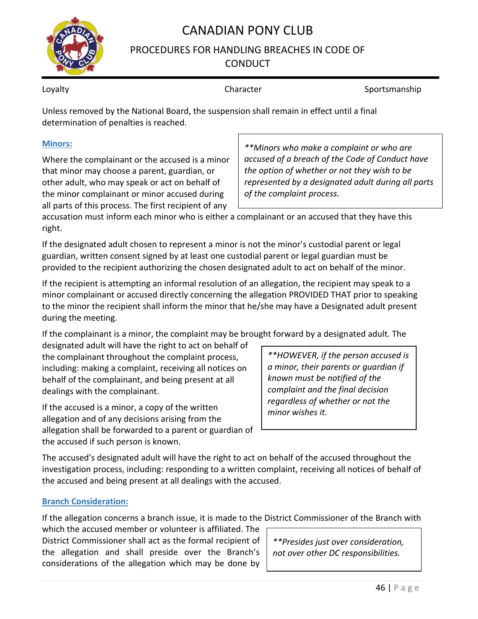

## PROCEDURES FOR HANDLING BREACHES IN CODE OF **CONDUCT**

Loyalty **Sportsmanship** Character **Sportsmanship** Character Sportsmanship

Unless removed by the National Board, the suspension shall remain in effect until a final determination of penalties is reached.

### **Minors:**

Where the complainant or the accused is a minor that minor may choose a parent, guardian, or other adult, who may speak or act on behalf of the minor complainant or minor accused during all parts of this process. The first recipient of any

*\*\*Minors who make a complaint or who are accused of a breach of the Code of Conduct have the option of whether or not they wish to be represented by a designated adult during all parts of the complaint process.*

accusation must inform each minor who is either a complainant or an accused that they have this right.

If the designated adult chosen to represent a minor is not the minor's custodial parent or legal guardian, written consent signed by at least one custodial parent or legal guardian must be provided to the recipient authorizing the chosen designated adult to act on behalf of the minor.

If the recipient is attempting an informal resolution of an allegation, the recipient may speak to a minor complainant or accused directly concerning the allegation PROVIDED THAT prior to speaking to the minor the recipient shall inform the minor that he/she may have a Designated adult present during the meeting.

If the complainant is a minor, the complaint may be brought forward by a designated adult. The

designated adult will have the right to act on behalf of the complainant throughout the complaint process, including: making a complaint, receiving all notices on behalf of the complainant, and being present at all dealings with the complainant.

If the accused is a minor, a copy of the written allegation and of any decisions arising from the allegation shall be forwarded to a parent or guardian of the accused if such person is known.

*\*\*HOWEVER, if the person accused is a minor, their parents or guardian if known must be notified of the complaint and the final decision regardless of whether or not the minor wishes it.*

The accused's designated adult will have the right to act on behalf of the accused throughout the investigation process, including: responding to a written complaint, receiving all notices of behalf of the accused and being present at all dealings with the accused.

### **Branch Consideration:**

If the allegation concerns a branch issue, it is made to the District Commissioner of the Branch with

which the accused member or volunteer is affiliated. The District Commissioner shall act as the formal recipient of the allegation and shall preside over the Branch's considerations of the allegation which may be done by

*\*\*Presides just over consideration, not over other DC responsibilities.*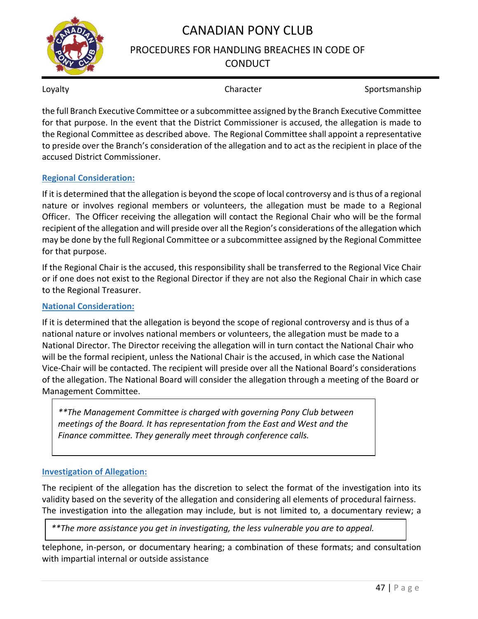## PROCEDURES FOR HANDLING BREACHES IN CODE OF **CONDUCT**

Loyalty **Sportsmanship** Character **Sportsmanship** Character Sportsmanship

the full Branch Executive Committee or a subcommittee assigned by the Branch Executive Committee for that purpose. In the event that the District Commissioner is accused, the allegation is made to the Regional Committee as described above. The Regional Committee shall appoint a representative to preside over the Branch's consideration of the allegation and to act as the recipient in place of the accused District Commissioner.

### **Regional Consideration:**

If it is determined that the allegation is beyond the scope of local controversy and is thus of a regional nature or involves regional members or volunteers, the allegation must be made to a Regional Officer. The Officer receiving the allegation will contact the Regional Chair who will be the formal recipient of the allegation and will preside over all the Region's considerations of the allegation which may be done by the full Regional Committee or a subcommittee assigned by the Regional Committee for that purpose.

If the Regional Chair is the accused, this responsibility shall be transferred to the Regional Vice Chair or if one does not exist to the Regional Director if they are not also the Regional Chair in which case to the Regional Treasurer.

### **National Consideration:**

If it is determined that the allegation is beyond the scope of regional controversy and is thus of a national nature or involves national members or volunteers, the allegation must be made to a National Director. The Director receiving the allegation will in turn contact the National Chair who will be the formal recipient, unless the National Chair is the accused, in which case the National Vice-Chair will be contacted. The recipient will preside over all the National Board's considerations of the allegation. The National Board will consider the allegation through a meeting of the Board or Management Committee.

*\*\*The Management Committee is charged with governing Pony Club between meetings of the Board. It has representation from the East and West and the Finance committee. They generally meet through conference calls.*

### **Investigation of Allegation:**

The recipient of the allegation has the discretion to select the format of the investigation into its validity based on the severity of the allegation and considering all elements of procedural fairness. The investigation into the allegation may include, but is not limited to, a documentary review; a

*\*\*The more assistance you get in investigating, the less vulnerable you are to appeal.*

telephone, in-person, or documentary hearing; a combination of these formats; and consultation with impartial internal or outside assistance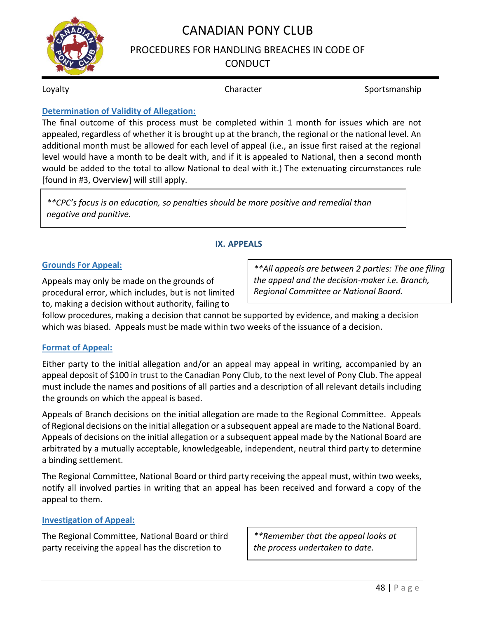

## PROCEDURES FOR HANDLING BREACHES IN CODE OF **CONDUCT**

Loyalty **Sportsmanship** Character **Sportsmanship** Character Sportsmanship

### **Determination of Validity of Allegation:**

The final outcome of this process must be completed within 1 month for issues which are not appealed, regardless of whether it is brought up at the branch, the regional or the national level. An additional month must be allowed for each level of appeal (i.e., an issue first raised at the regional level would have a month to be dealt with, and if it is appealed to National, then a second month would be added to the total to allow National to deal with it.) The extenuating circumstances rule [found in #3, Overview] will still apply.

*\*\*CPC's focus is on education, so penalties should be more positive and remedial than negative and punitive.*

### **IX. APPEALS**

### **Grounds For Appeal:**

Appeals may only be made on the grounds of procedural error, which includes, but is not limited to, making a decision without authority, failing to

*\*\*All appeals are between 2 parties: The one filing the appeal and the decision-maker i.e. Branch, Regional Committee or National Board.*

follow procedures, making a decision that cannot be supported by evidence, and making a decision which was biased. Appeals must be made within two weeks of the issuance of a decision.

### **Format of Appeal:**

Either party to the initial allegation and/or an appeal may appeal in writing, accompanied by an appeal deposit of \$100 in trust to the Canadian Pony Club, to the next level of Pony Club. The appeal must include the names and positions of all parties and a description of all relevant details including the grounds on which the appeal is based.

Appeals of Branch decisions on the initial allegation are made to the Regional Committee. Appeals of Regional decisions on the initial allegation or a subsequent appeal are made to the National Board. Appeals of decisions on the initial allegation or a subsequent appeal made by the National Board are arbitrated by a mutually acceptable, knowledgeable, independent, neutral third party to determine a binding settlement.

The Regional Committee, National Board or third party receiving the appeal must, within two weeks, notify all involved parties in writing that an appeal has been received and forward a copy of the appeal to them.

### **Investigation of Appeal:**

The Regional Committee, National Board or third party receiving the appeal has the discretion to

*\*\*Remember that the appeal looks at the process undertaken to date.*